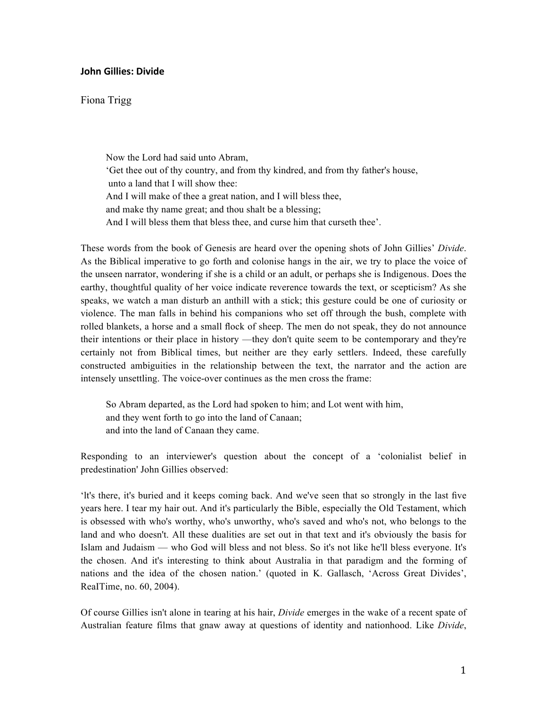## **John Gillies: Divide**

## Fiona Trigg

Now the Lord had said unto Abram, 'Get thee out of thy country, and from thy kindred, and from thy father's house, unto a land that I will show thee: And I will make of thee a great nation, and I will bless thee, and make thy name great; and thou shalt be a blessing; And I will bless them that bless thee, and curse him that curseth thee'.

These words from the book of Genesis are heard over the opening shots of John Gillies' *Divide*. As the Biblical imperative to go forth and colonise hangs in the air, we try to place the voice of the unseen narrator, wondering if she is a child or an adult, or perhaps she is Indigenous. Does the earthy, thoughtful quality of her voice indicate reverence towards the text, or scepticism? As she speaks, we watch a man disturb an anthill with a stick; this gesture could be one of curiosity or violence. The man falls in behind his companions who set off through the bush, complete with rolled blankets, a horse and a small flock of sheep. The men do not speak, they do not announce their intentions or their place in history —they don't quite seem to be contemporary and they're certainly not from Biblical times, but neither are they early settlers. Indeed, these carefully constructed ambiguities in the relationship between the text, the narrator and the action are intensely unsettling. The voice-over continues as the men cross the frame:

So Abram departed, as the Lord had spoken to him; and Lot went with him, and they went forth to go into the land of Canaan; and into the land of Canaan they came.

Responding to an interviewer's question about the concept of a 'colonialist belief in predestination' John Gillies observed:

'lt's there, it's buried and it keeps coming back. And we've seen that so strongly in the last five years here. I tear my hair out. And it's particularly the Bible, especially the Old Testament, which is obsessed with who's worthy, who's unworthy, who's saved and who's not, who belongs to the land and who doesn't. All these dualities are set out in that text and it's obviously the basis for Islam and Judaism — who God will bless and not bless. So it's not like he'll bless everyone. It's the chosen. And it's interesting to think about Australia in that paradigm and the forming of nations and the idea of the chosen nation.' (quoted in K. Gallasch, 'Across Great Divides', ReaITime, no. 60, 2004).

Of course Gillies isn't alone in tearing at his hair, *Divide* emerges in the wake of a recent spate of Australian feature films that gnaw away at questions of identity and nationhood. Like *Divide*,